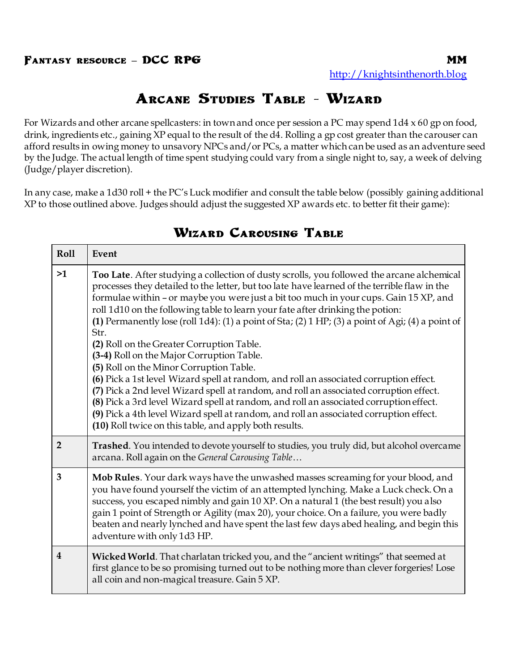## **Arcane Studies Table - Wizard**

For Wizards and other arcane spellcasters: in town and once per session a PC may spend 1d4 x 60 gp on food, drink, ingredients etc., gaining XP equal to the result of the d4. Rolling a gp cost greater than the carouser can afford results in owing money to unsavory NPCs and/or PCs, a matter which can be used as an adventure seed by the Judge. The actual length of time spent studying could vary from a single night to, say, a week of delving (Judge/player discretion).

In any case, make a 1d30 roll + the PC's Luck modifier and consult the table below (possibly gaining additional XP to those outlined above. Judges should adjust the suggested XP awards etc. to better fit their game):

| Roll                    | Event                                                                                                                                                                                                                                                                                                                                                                                                                                                                                                                                                                                                                                                                                                                                                                                                                                                                                                                                                                                                                                                           |
|-------------------------|-----------------------------------------------------------------------------------------------------------------------------------------------------------------------------------------------------------------------------------------------------------------------------------------------------------------------------------------------------------------------------------------------------------------------------------------------------------------------------------------------------------------------------------------------------------------------------------------------------------------------------------------------------------------------------------------------------------------------------------------------------------------------------------------------------------------------------------------------------------------------------------------------------------------------------------------------------------------------------------------------------------------------------------------------------------------|
| >1                      | Too Late. After studying a collection of dusty scrolls, you followed the arcane alchemical<br>processes they detailed to the letter, but too late have learned of the terrible flaw in the<br>formulae within - or maybe you were just a bit too much in your cups. Gain 15 XP, and<br>roll 1d10 on the following table to learn your fate after drinking the potion:<br>(1) Permanently lose (roll $1d4$ ): (1) a point of Sta; (2) $1 H$ P; (3) a point of Agi; (4) a point of<br>Str.<br>(2) Roll on the Greater Corruption Table.<br>(3-4) Roll on the Major Corruption Table.<br>(5) Roll on the Minor Corruption Table.<br>(6) Pick a 1st level Wizard spell at random, and roll an associated corruption effect.<br>(7) Pick a 2nd level Wizard spell at random, and roll an associated corruption effect.<br>(8) Pick a 3rd level Wizard spell at random, and roll an associated corruption effect.<br>(9) Pick a 4th level Wizard spell at random, and roll an associated corruption effect.<br>(10) Roll twice on this table, and apply both results. |
| $\overline{2}$          | <b>Trashed.</b> You intended to devote yourself to studies, you truly did, but alcohol overcame<br>arcana. Roll again on the General Carousing Table                                                                                                                                                                                                                                                                                                                                                                                                                                                                                                                                                                                                                                                                                                                                                                                                                                                                                                            |
| 3                       | Mob Rules. Your dark ways have the unwashed masses screaming for your blood, and<br>you have found yourself the victim of an attempted lynching. Make a Luck check. On a<br>success, you escaped nimbly and gain 10 XP. On a natural 1 (the best result) you also<br>gain 1 point of Strength or Agility (max 20), your choice. On a failure, you were badly<br>beaten and nearly lynched and have spent the last few days abed healing, and begin this<br>adventure with only 1d3 HP.                                                                                                                                                                                                                                                                                                                                                                                                                                                                                                                                                                          |
| $\overline{\mathbf{4}}$ | Wicked World. That charlatan tricked you, and the "ancient writings" that seemed at<br>first glance to be so promising turned out to be nothing more than clever forgeries! Lose<br>all coin and non-magical treasure. Gain 5 XP.                                                                                                                                                                                                                                                                                                                                                                                                                                                                                                                                                                                                                                                                                                                                                                                                                               |

## **Wizard Carousing Table**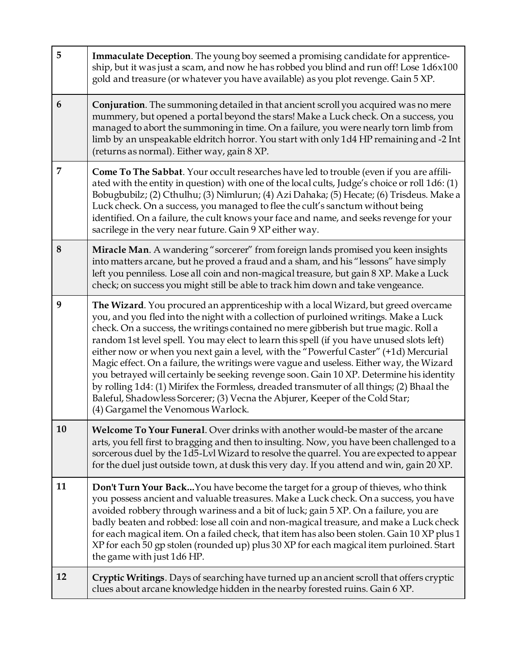| 5  | Immaculate Deception. The young boy seemed a promising candidate for apprentice-<br>ship, but it was just a scam, and now he has robbed you blind and run off! Lose 1d6x100<br>gold and treasure (or whatever you have available) as you plot revenge. Gain 5 XP.                                                                                                                                                                                                                                                                                                                                                                                                                                                                                                                                                                                                  |
|----|--------------------------------------------------------------------------------------------------------------------------------------------------------------------------------------------------------------------------------------------------------------------------------------------------------------------------------------------------------------------------------------------------------------------------------------------------------------------------------------------------------------------------------------------------------------------------------------------------------------------------------------------------------------------------------------------------------------------------------------------------------------------------------------------------------------------------------------------------------------------|
| 6  | <b>Conjuration.</b> The summoning detailed in that ancient scroll you acquired was no mere<br>mummery, but opened a portal beyond the stars! Make a Luck check. On a success, you<br>managed to abort the summoning in time. On a failure, you were nearly torn limb from<br>limb by an unspeakable eldritch horror. You start with only 1d4 HP remaining and -2 Int<br>(returns as normal). Either way, gain 8 XP.                                                                                                                                                                                                                                                                                                                                                                                                                                                |
| 7  | Come To The Sabbat. Your occult researches have led to trouble (even if you are affili-<br>ated with the entity in question) with one of the local cults, Judge's choice or roll 1d6: (1)<br>Bobugbubilz; (2) Cthulhu; (3) Nimlurun; (4) Azi Dahaka; (5) Hecate; (6) Trisdeus. Make a<br>Luck check. On a success, you managed to flee the cult's sanctum without being<br>identified. On a failure, the cult knows your face and name, and seeks revenge for your<br>sacrilege in the very near future. Gain 9 XP either way.                                                                                                                                                                                                                                                                                                                                     |
| 8  | Miracle Man. A wandering "sorcerer" from foreign lands promised you keen insights<br>into matters arcane, but he proved a fraud and a sham, and his "lessons" have simply<br>left you penniless. Lose all coin and non-magical treasure, but gain 8 XP. Make a Luck<br>check; on success you might still be able to track him down and take vengeance.                                                                                                                                                                                                                                                                                                                                                                                                                                                                                                             |
| 9  | The Wizard. You procured an apprenticeship with a local Wizard, but greed overcame<br>you, and you fled into the night with a collection of purloined writings. Make a Luck<br>check. On a success, the writings contained no mere gibberish but true magic. Roll a<br>random 1st level spell. You may elect to learn this spell (if you have unused slots left)<br>either now or when you next gain a level, with the "Powerful Caster" (+1d) Mercurial<br>Magic effect. On a failure, the writings were vague and useless. Either way, the Wizard<br>you betrayed will certainly be seeking revenge soon. Gain 10 XP. Determine his identity<br>by rolling 1d4: (1) Mirifex the Formless, dreaded transmuter of all things; (2) Bhaal the<br>Baleful, Shadowless Sorcerer; (3) Vecna the Abjurer, Keeper of the Cold Star;<br>(4) Gargamel the Venomous Warlock. |
| 10 | Welcome To Your Funeral. Over drinks with another would-be master of the arcane<br>arts, you fell first to bragging and then to insulting. Now, you have been challenged to a<br>sorcerous duel by the 1d5-Lvl Wizard to resolve the quarrel. You are expected to appear<br>for the duel just outside town, at dusk this very day. If you attend and win, gain 20 XP.                                                                                                                                                                                                                                                                                                                                                                                                                                                                                              |
| 11 | Don't Turn Your Back You have become the target for a group of thieves, who think<br>you possess ancient and valuable treasures. Make a Luck check. On a success, you have<br>avoided robbery through wariness and a bit of luck; gain 5 XP. On a failure, you are<br>badly beaten and robbed: lose all coin and non-magical treasure, and make a Luck check<br>for each magical item. On a failed check, that item has also been stolen. Gain 10 XP plus 1<br>XP for each 50 gp stolen (rounded up) plus 30 XP for each magical item purloined. Start<br>the game with just 1d6 HP.                                                                                                                                                                                                                                                                               |
| 12 | <b>Cryptic Writings.</b> Days of searching have turned up an ancient scroll that offers cryptic<br>clues about arcane knowledge hidden in the nearby forested ruins. Gain 6 XP.                                                                                                                                                                                                                                                                                                                                                                                                                                                                                                                                                                                                                                                                                    |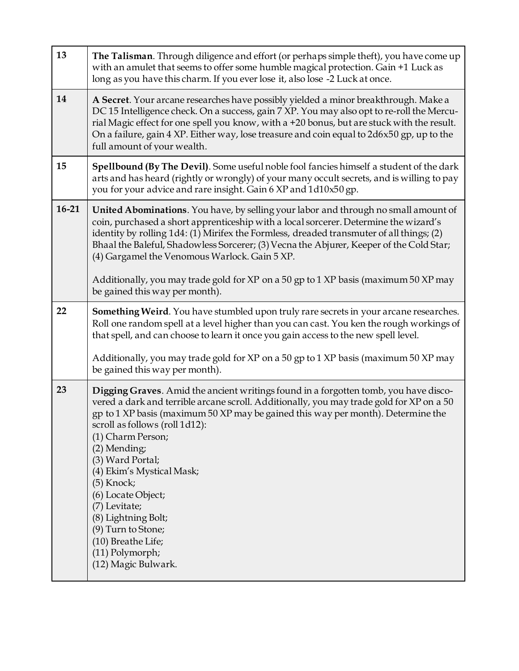| 13      | The Talisman. Through diligence and effort (or perhaps simple theft), you have come up<br>with an amulet that seems to offer some humble magical protection. Gain +1 Luck as<br>long as you have this charm. If you ever lose it, also lose -2 Luck at once.                                                                                                                                                                                                                                                                                                   |
|---------|----------------------------------------------------------------------------------------------------------------------------------------------------------------------------------------------------------------------------------------------------------------------------------------------------------------------------------------------------------------------------------------------------------------------------------------------------------------------------------------------------------------------------------------------------------------|
| 14      | A Secret. Your arcane researches have possibly yielded a minor breakthrough. Make a<br>DC 15 Intelligence check. On a success, gain 7 XP. You may also opt to re-roll the Mercu-<br>rial Magic effect for one spell you know, with a +20 bonus, but are stuck with the result.<br>On a failure, gain 4 XP. Either way, lose treasure and coin equal to 2d6x50 gp, up to the<br>full amount of your wealth.                                                                                                                                                     |
| 15      | Spellbound (By The Devil). Some useful noble fool fancies himself a student of the dark<br>arts and has heard (rightly or wrongly) of your many occult secrets, and is willing to pay<br>you for your advice and rare insight. Gain 6 XP and 1d10x50 gp.                                                                                                                                                                                                                                                                                                       |
| $16-21$ | United Abominations. You have, by selling your labor and through no small amount of<br>coin, purchased a short apprenticeship with a local sorcerer. Determine the wizard's<br>identity by rolling 1d4: (1) Mirifex the Formless, dreaded transmuter of all things; (2)<br>Bhaal the Baleful, Shadowless Sorcerer; (3) Vecna the Abjurer, Keeper of the Cold Star;<br>(4) Gargamel the Venomous Warlock. Gain 5 XP.                                                                                                                                            |
|         | Additionally, you may trade gold for XP on a 50 gp to 1 XP basis (maximum 50 XP may<br>be gained this way per month).                                                                                                                                                                                                                                                                                                                                                                                                                                          |
| 22      | Something Weird. You have stumbled upon truly rare secrets in your arcane researches.<br>Roll one random spell at a level higher than you can cast. You ken the rough workings of<br>that spell, and can choose to learn it once you gain access to the new spell level.                                                                                                                                                                                                                                                                                       |
|         | Additionally, you may trade gold for XP on a 50 gp to 1 XP basis (maximum 50 XP may<br>be gained this way per month).                                                                                                                                                                                                                                                                                                                                                                                                                                          |
| 23      | Digging Graves. Amid the ancient writings found in a forgotten tomb, you have disco-<br>vered a dark and terrible arcane scroll. Additionally, you may trade gold for XP on a 50<br>gp to 1 XP basis (maximum 50 XP may be gained this way per month). Determine the<br>scroll as follows (roll 1d12):<br>(1) Charm Person;<br>(2) Mending;<br>(3) Ward Portal;<br>(4) Ekim's Mystical Mask;<br>(5) Knock;<br>(6) Locate Object;<br>(7) Levitate;<br>(8) Lightning Bolt;<br>(9) Turn to Stone;<br>(10) Breathe Life;<br>(11) Polymorph;<br>(12) Magic Bulwark. |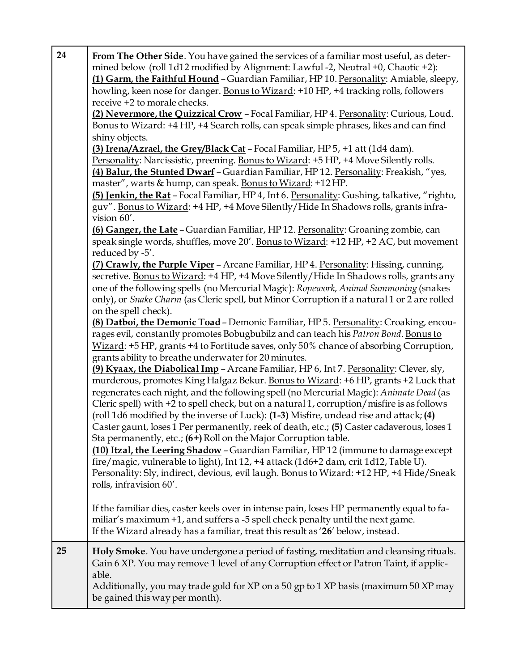| 24 | From The Other Side. You have gained the services of a familiar most useful, as deter-<br>mined below (roll 1d12 modified by Alignment: Lawful -2, Neutral +0, Chaotic +2):<br>(1) Garm, the Faithful Hound - Guardian Familiar, HP 10. Personality: Amiable, sleepy,<br>howling, keen nose for danger. Bonus to Wizard: +10 HP, +4 tracking rolls, followers<br>receive +2 to morale checks.<br>(2) Nevermore, the Quizzical Crow - Focal Familiar, HP 4. Personality: Curious, Loud.<br>Bonus to Wizard: +4 HP, +4 Search rolls, can speak simple phrases, likes and can find<br>shiny objects.<br>(3) Irena/Azrael, the Grey/Black Cat - Focal Familiar, HP 5, +1 att (1d4 dam).<br>Personality: Narcissistic, preening. Bonus to Wizard: +5 HP, +4 Move Silently rolls.<br>(4) Balur, the Stunted Dwarf - Guardian Familiar, HP 12. Personality: Freakish, "yes,<br>master", warts & hump, can speak. Bonus to Wizard: +12 HP.<br>(5) Jenkin, the Rat - Focal Familiar, HP 4, Int 6. Personality: Gushing, talkative, "righto,<br>guv". Bonus to Wizard: +4 HP, +4 Move Silently/Hide In Shadows rolls, grants infra-<br>vision 60'.<br>(6) Ganger, the Late - Guardian Familiar, HP 12. Personality: Groaning zombie, can<br>speak single words, shuffles, move 20'. Bonus to Wizard: +12 HP, +2 AC, but movement<br>reduced by -5'.<br>(7) Crawly, the Purple Viper - Arcane Familiar, HP 4. Personality: Hissing, cunning,<br>secretive. Bonus to Wizard: +4 HP, +4 Move Silently/Hide In Shadows rolls, grants any<br>one of the following spells (no Mercurial Magic): Ropework, Animal Summoning (snakes<br>only), or Snake Charm (as Cleric spell, but Minor Corruption if a natural 1 or 2 are rolled<br>on the spell check).<br>(8) Datboi, the Demonic Toad - Demonic Familiar, HP 5. Personality: Croaking, encou-<br>rages evil, constantly promotes Bobugbubilz and can teach his Patron Bond. Bonus to<br>Wizard: +5 HP, grants +4 to Fortitude saves, only 50% chance of absorbing Corruption,<br>grants ability to breathe underwater for 20 minutes.<br>(9) Kyaax, the Diabolical Imp - Arcane Familiar, HP 6, Int 7. Personality: Clever, sly,<br>murderous, promotes King Halgaz Bekur. Bonus to Wizard: +6 HP, grants +2 Luck that<br>regenerates each night, and the following spell (no Mercurial Magic): Animate Dead (as<br>Cleric spell) with +2 to spell check, but on a natural 1, corruption/misfire is as follows<br>(roll 1d6 modified by the inverse of Luck): (1-3) Misfire, undead rise and attack; (4)<br>Caster gaunt, loses 1 Per permanently, reek of death, etc.; (5) Caster cadaverous, loses 1<br>Sta permanently, etc.; (6+) Roll on the Major Corruption table.<br>(10) Itzal, the Leering Shadow - Guardian Familiar, HP 12 (immune to damage except<br>fire/magic, vulnerable to light), Int 12, +4 attack (1d6+2 dam, crit 1d12, Table U).<br>Personality: Sly, indirect, devious, evil laugh. Bonus to Wizard: +12 HP, +4 Hide/Sneak<br>rolls, infravision 60'. |
|----|-------------------------------------------------------------------------------------------------------------------------------------------------------------------------------------------------------------------------------------------------------------------------------------------------------------------------------------------------------------------------------------------------------------------------------------------------------------------------------------------------------------------------------------------------------------------------------------------------------------------------------------------------------------------------------------------------------------------------------------------------------------------------------------------------------------------------------------------------------------------------------------------------------------------------------------------------------------------------------------------------------------------------------------------------------------------------------------------------------------------------------------------------------------------------------------------------------------------------------------------------------------------------------------------------------------------------------------------------------------------------------------------------------------------------------------------------------------------------------------------------------------------------------------------------------------------------------------------------------------------------------------------------------------------------------------------------------------------------------------------------------------------------------------------------------------------------------------------------------------------------------------------------------------------------------------------------------------------------------------------------------------------------------------------------------------------------------------------------------------------------------------------------------------------------------------------------------------------------------------------------------------------------------------------------------------------------------------------------------------------------------------------------------------------------------------------------------------------------------------------------------------------------------------------------------------------------------------------------------------------------------------------------------------------------------------------------------------------------------------------------------------------------------------------------------------------------------------------------------------------------------------------------------------------------------------------------------------------------------------------------------------------|
|    | If the familiar dies, caster keels over in intense pain, loses HP permanently equal to fa-<br>miliar's maximum +1, and suffers a -5 spell check penalty until the next game.<br>If the Wizard already has a familiar, treat this result as '26' below, instead.                                                                                                                                                                                                                                                                                                                                                                                                                                                                                                                                                                                                                                                                                                                                                                                                                                                                                                                                                                                                                                                                                                                                                                                                                                                                                                                                                                                                                                                                                                                                                                                                                                                                                                                                                                                                                                                                                                                                                                                                                                                                                                                                                                                                                                                                                                                                                                                                                                                                                                                                                                                                                                                                                                                                                   |
| 25 | Holy Smoke. You have undergone a period of fasting, meditation and cleansing rituals.<br>Gain 6 XP. You may remove 1 level of any Corruption effect or Patron Taint, if applic-<br>able.<br>Additionally, you may trade gold for XP on a 50 gp to 1 XP basis (maximum 50 XP may<br>be gained this way per month).                                                                                                                                                                                                                                                                                                                                                                                                                                                                                                                                                                                                                                                                                                                                                                                                                                                                                                                                                                                                                                                                                                                                                                                                                                                                                                                                                                                                                                                                                                                                                                                                                                                                                                                                                                                                                                                                                                                                                                                                                                                                                                                                                                                                                                                                                                                                                                                                                                                                                                                                                                                                                                                                                                 |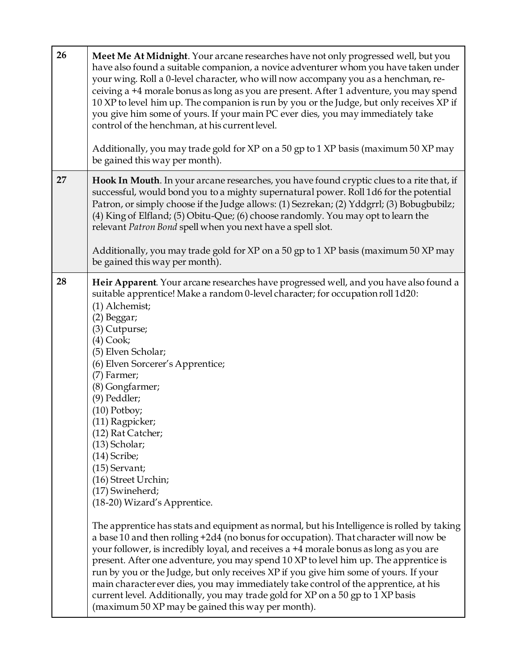|    | have also found a suitable companion, a novice adventurer whom you have taken under<br>your wing. Roll a 0-level character, who will now accompany you as a henchman, re-<br>ceiving a +4 morale bonus as long as you are present. After 1 adventure, you may spend<br>10 XP to level him up. The companion is run by you or the Judge, but only receives XP if<br>you give him some of yours. If your main PC ever dies, you may immediately take<br>control of the henchman, at his current level.<br>Additionally, you may trade gold for XP on a 50 gp to 1 XP basis (maximum 50 XP may                                                                                                                                                                                                                                                                                                                                                                                                                                                                                                                                                                                                     |
|----|-------------------------------------------------------------------------------------------------------------------------------------------------------------------------------------------------------------------------------------------------------------------------------------------------------------------------------------------------------------------------------------------------------------------------------------------------------------------------------------------------------------------------------------------------------------------------------------------------------------------------------------------------------------------------------------------------------------------------------------------------------------------------------------------------------------------------------------------------------------------------------------------------------------------------------------------------------------------------------------------------------------------------------------------------------------------------------------------------------------------------------------------------------------------------------------------------|
|    | be gained this way per month).                                                                                                                                                                                                                                                                                                                                                                                                                                                                                                                                                                                                                                                                                                                                                                                                                                                                                                                                                                                                                                                                                                                                                                  |
| 27 | Hook In Mouth. In your arcane researches, you have found cryptic clues to a rite that, if<br>successful, would bond you to a mighty supernatural power. Roll 1d6 for the potential<br>Patron, or simply choose if the Judge allows: (1) Sezrekan; (2) Yddgrrl; (3) Bobugbubilz;<br>(4) King of Elfland; (5) Obitu-Que; (6) choose randomly. You may opt to learn the<br>relevant Patron Bond spell when you next have a spell slot.                                                                                                                                                                                                                                                                                                                                                                                                                                                                                                                                                                                                                                                                                                                                                             |
|    | Additionally, you may trade gold for XP on a 50 gp to 1 XP basis (maximum 50 XP may<br>be gained this way per month).                                                                                                                                                                                                                                                                                                                                                                                                                                                                                                                                                                                                                                                                                                                                                                                                                                                                                                                                                                                                                                                                           |
| 28 | Heir Apparent. Your arcane researches have progressed well, and you have also found a<br>suitable apprentice! Make a random 0-level character; for occupation roll 1d20:<br>(1) Alchemist;<br>(2) Beggar;<br>(3) Cutpurse;<br>$(4) \text{Cook};$<br>(5) Elven Scholar;<br>(6) Elven Sorcerer's Apprentice;<br>(7) Farmer;<br>(8) Gongfarmer;<br>(9) Peddler;<br>$(10)$ Potboy;<br>(11) Ragpicker;<br>(12) Rat Catcher;<br>(13) Scholar;<br>$(14)$ Scribe;<br>(15) Servant;<br>(16) Street Urchin;<br>(17) Swineherd;<br>(18-20) Wizard's Apprentice.<br>The apprentice has stats and equipment as normal, but his Intelligence is rolled by taking<br>a base 10 and then rolling +2d4 (no bonus for occupation). That character will now be<br>your follower, is incredibly loyal, and receives a +4 morale bonus as long as you are<br>present. After one adventure, you may spend 10 XP to level him up. The apprentice is<br>run by you or the Judge, but only receives XP if you give him some of yours. If your<br>main character ever dies, you may immediately take control of the apprentice, at his<br>current level. Additionally, you may trade gold for XP on a 50 gp to 1 XP basis |